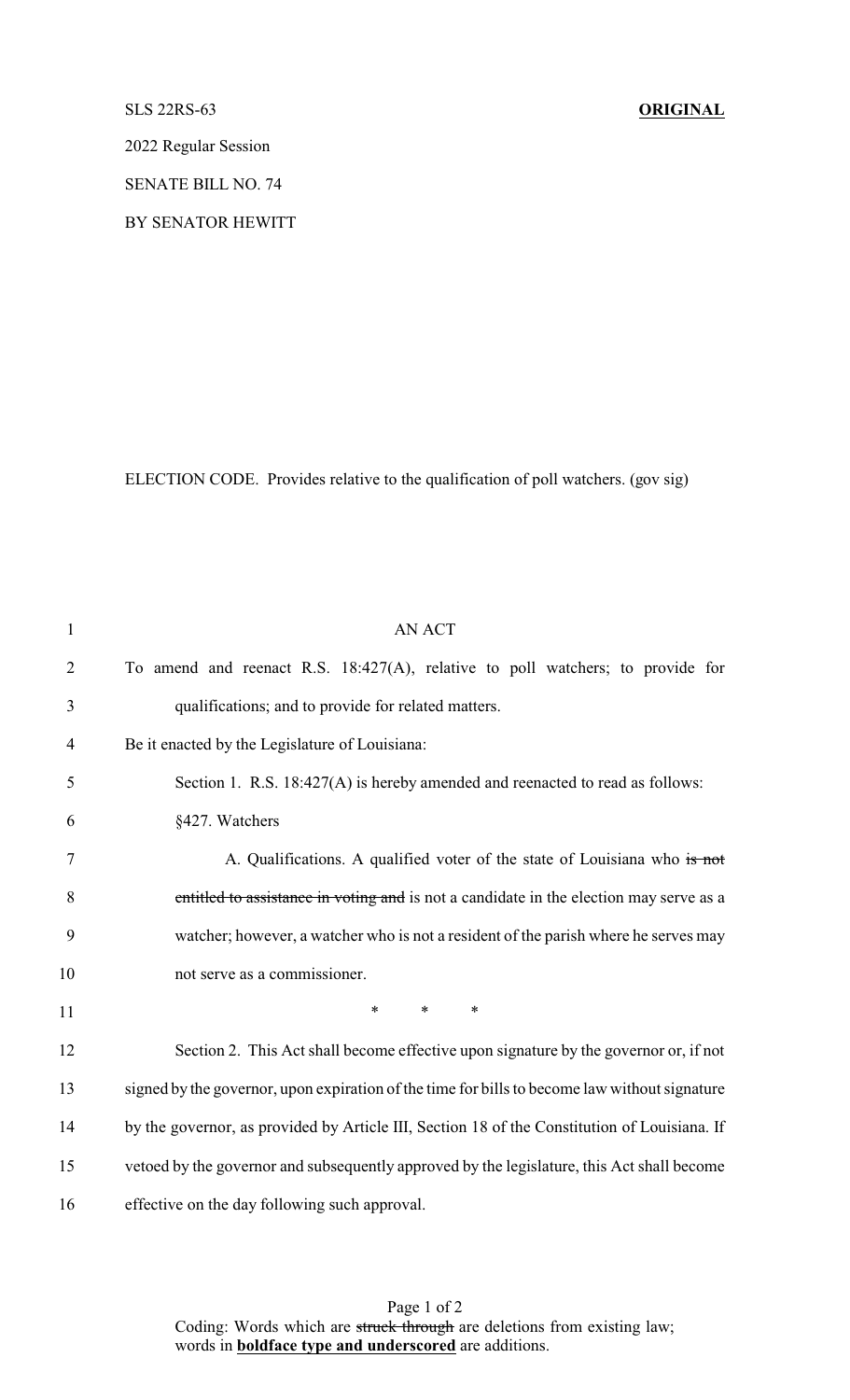## SLS 22RS-63 **ORIGINAL**

2022 Regular Session

SENATE BILL NO. 74

BY SENATOR HEWITT

ELECTION CODE. Provides relative to the qualification of poll watchers. (gov sig)

| $\mathbf{1}$   | <b>AN ACT</b>                                                                                 |
|----------------|-----------------------------------------------------------------------------------------------|
| $\overline{2}$ | To amend and reenact R.S. $18:427(A)$ , relative to poll watchers; to provide for             |
| 3              | qualifications; and to provide for related matters.                                           |
| 4              | Be it enacted by the Legislature of Louisiana:                                                |
| 5              | Section 1. R.S. 18:427(A) is hereby amended and reenacted to read as follows:                 |
| 6              | §427. Watchers                                                                                |
| 7              | A. Qualifications. A qualified voter of the state of Louisiana who is not                     |
| 8              | entitled to assistance in voting and is not a candidate in the election may serve as a        |
| 9              | watcher; however, a watcher who is not a resident of the parish where he serves may           |
| 10             | not serve as a commissioner.                                                                  |
| 11             | $\ast$<br>$\ast$<br>*                                                                         |
| 12             | Section 2. This Act shall become effective upon signature by the governor or, if not          |
| 13             | signed by the governor, upon expiration of the time for bills to become law without signature |
| 14             | by the governor, as provided by Article III, Section 18 of the Constitution of Louisiana. If  |
| 15             | vetoed by the governor and subsequently approved by the legislature, this Act shall become    |
| 16             | effective on the day following such approval.                                                 |